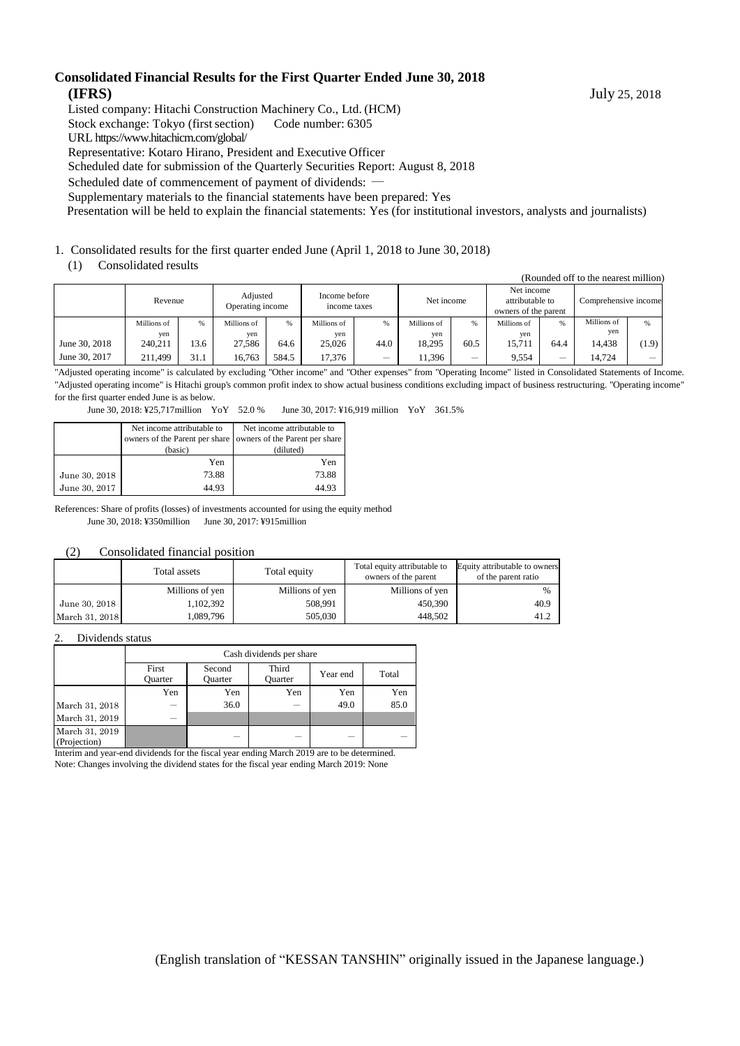#### **Consolidated Financial Results for the First Quarter Ended June 30, 2018 (IFRS)** July 25, 2018

Listed company: Hitachi Construction Machinery Co., Ltd. (HCM)

Stock exchange: Tokyo (first section) Code number: 6305

URL https://www.hitachicm.com/global/

Representative: Kotaro Hirano, President and Executive Officer

Scheduled date for submission of the Quarterly Securities Report: August 8, 2018

Scheduled date of commencement of payment of dividends: ―

Supplementary materials to the financial statements have been prepared: Yes

Presentation will be held to explain the financial statements: Yes (for institutional investors, analysts and journalists)

#### 1. Consolidated results for the first quarter ended June (April 1, 2018 to June 30, 2018)

#### (1) Consolidated results

|               | (Rounded off to the nearest million) |      |                              |       |                               |                          |             |      |                                                       |      |                      |               |
|---------------|--------------------------------------|------|------------------------------|-------|-------------------------------|--------------------------|-------------|------|-------------------------------------------------------|------|----------------------|---------------|
|               | Revenue                              |      | Adjusted<br>Operating income |       | Income before<br>income taxes |                          | Net income  |      | Net income<br>attributable to<br>owners of the parent |      | Comprehensive income |               |
|               | Millions of                          | %    | Millions of                  | %     | Millions of                   | %                        | Millions of | %    | Millions of                                           | %    | Millions of          | $\frac{9}{6}$ |
|               | ven                                  |      | yen                          |       | yen                           |                          | yen         |      | ven                                                   |      | yen                  |               |
| June 30, 2018 | 240,211                              | 13.6 | 27.586                       | 64.6  | 25,026                        | 44.0                     | 18.295      | 60.5 | 15.711                                                | 64.4 | 14.438               | (1.9)         |
| June 30, 2017 | 211.499                              | 31.1 | 16.763                       | 584.5 | 17.376                        | $\overline{\phantom{0}}$ | 11.396      | _    | 9.554                                                 | –    | 14.724               |               |

"Adjusted operating income" is calculated by excluding "Other income" and "Other expenses" from "Operating Income" listed in Consolidated Statements of Income. "Adjusted operating income" is Hitachi group's common profit index to show actual business conditions excluding impact of business restructuring. "Operating income" for the first quarter ended June is as below.

June 30, 2018: ¥25,717million YoY 52.0 % June 30, 2017: ¥16,919 million YoY 361.5%

|               | Net income attributable to<br>owners of the Parent per share<br>(basic) | Net income attributable to<br>owners of the Parent per share<br>(diluted) |
|---------------|-------------------------------------------------------------------------|---------------------------------------------------------------------------|
|               | Yen                                                                     | Yen                                                                       |
| June 30, 2018 | 73.88                                                                   | 73.88                                                                     |
| June 30, 2017 | 44.93                                                                   | 44.93                                                                     |

References: Share of profits (losses) of investments accounted for using the equity method June 30, 2018: ¥350million June 30, 2017: ¥915million

#### (2) Consolidated financial position

|                | Total assets    | Total equity    | Total equity attributable to<br>owners of the parent | Equity attributable to owners<br>of the parent ratio |
|----------------|-----------------|-----------------|------------------------------------------------------|------------------------------------------------------|
|                | Millions of yen | Millions of yen | Millions of yen                                      | $\frac{0}{0}$                                        |
| June 30, 2018  | 1,102,392       | 508.991         | 450,390                                              | 40.9                                                 |
| March 31, 2018 | 1,089,796       | 505,030         | 448.502                                              | 41.2                                                 |

#### 2. Dividends status

|                                | Cash dividends per share |                   |                  |          |       |  |  |
|--------------------------------|--------------------------|-------------------|------------------|----------|-------|--|--|
|                                | First<br><b>Ouarter</b>  | Second<br>Ouarter | Third<br>Ouarter | Year end | Total |  |  |
|                                | Yen                      | Yen               | Yen              | Yen      | Yen   |  |  |
| March 31, 2018                 |                          | 36.0              |                  | 49.0     | 85.0  |  |  |
| March 31, 2019                 |                          |                   |                  |          |       |  |  |
| March 31, 2019<br>(Projection) |                          |                   |                  |          |       |  |  |

Interim and year-end dividends for the fiscal year ending March 2019 are to be determined. Note: Changes involving the dividend states for the fiscal year ending March 2019: None

(English translation of "KESSAN TANSHIN" originally issued in the Japanese language.)

(Rounded off to the nearest million)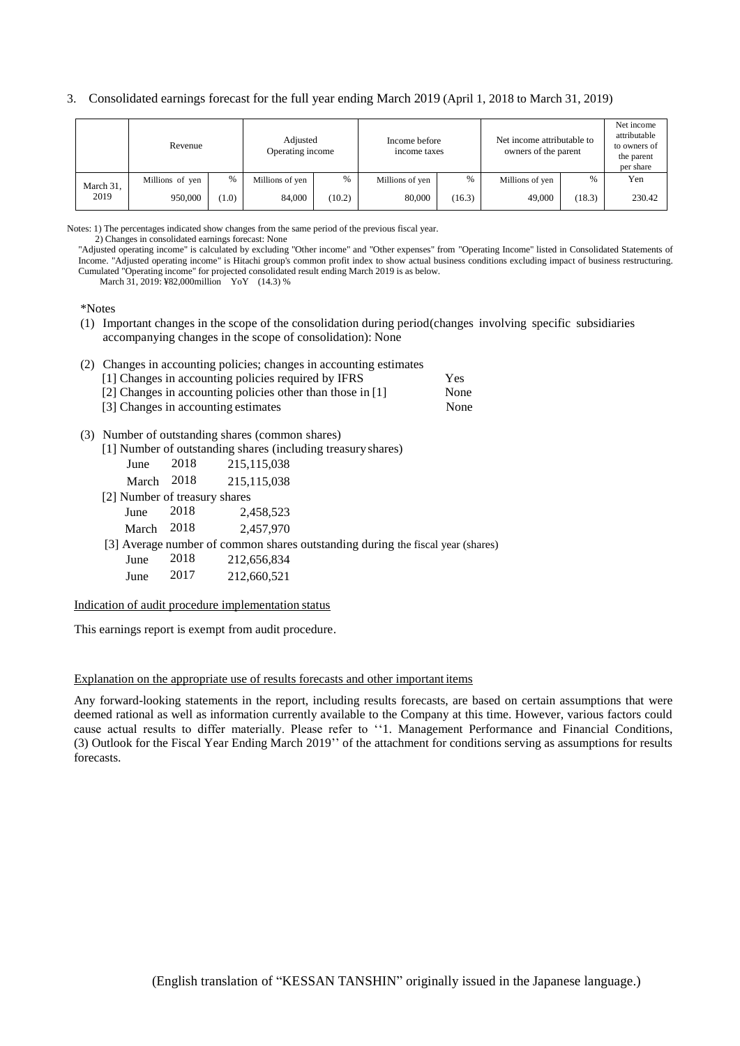#### 3. Consolidated earnings forecast for the full year ending March 2019 (April 1, 2018 to March 31, 2019)

|           | Revenue         |      | Adjusted<br>Operating income |               | Income before<br>income taxes |        | Net income attributable to<br>owners of the parent |        | Net income<br>attributable<br>to owners of<br>the parent<br>per share |
|-----------|-----------------|------|------------------------------|---------------|-------------------------------|--------|----------------------------------------------------|--------|-----------------------------------------------------------------------|
| March 31, | Millions of yen | $\%$ | Millions of yen              | $\frac{0}{6}$ | Millions of yen               | %      | Millions of yen                                    | $\%$   | Yen                                                                   |
| 2019      | 950,000         | 1.0) | 84,000                       | (10.2)        | 80,000                        | (16.3) | 49,000                                             | (18.3) | 230.42                                                                |

Notes: 1) The percentages indicated show changes from the same period of the previous fiscal year.

2) Changes in consolidated earnings forecast: None

"Adjusted operating income" is calculated by excluding "Other income" and "Other expenses" from "Operating Income" listed in Consolidated Statements of Income. "Adjusted operating income" is Hitachi group's common profit index to show actual business conditions excluding impact of business restructuring. Cumulated "Operating income" for projected consolidated result ending March 2019 is as below.

March 31, 2019: ¥82,000million YoY (14.3) %

\*Notes

(1) Important changes in the scope of the consolidation during period(changes involving specific subsidiaries accompanying changes in the scope of consolidation): None

(2) Changes in accounting policies; changes in accounting estimates

| [1] Changes in accounting policies required by IFRS        | Yes  |
|------------------------------------------------------------|------|
| [2] Changes in accounting policies other than those in [1] | None |

- [3] Changes in accounting estimates None
- 
- (3) Number of outstanding shares (common shares)
	- [1] Number of outstanding shares (including treasuryshares)

|                               |        | $\left  \cdot \right $ , while we can be considered that we there are the contact $\left  \cdot \right $ |
|-------------------------------|--------|----------------------------------------------------------------------------------------------------------|
| June                          | 2018   | 215, 115, 038                                                                                            |
| March                         | 2018   | 215, 115, 038                                                                                            |
| [2] Number of treasury shares |        |                                                                                                          |
| June                          | 2018   | 2,458,523                                                                                                |
| March                         | - 2018 | 2.457.970                                                                                                |
|                               |        | [3] Average number of common shares outstanding during the fiscal year (shares)                          |
| June                          | 2018   | 212,656,834                                                                                              |
| June                          | 2017   | 212,660,521                                                                                              |
|                               |        |                                                                                                          |

Indication of audit procedure implementation status

This earnings report is exempt from audit procedure.

#### Explanation on the appropriate use of results forecasts and other important items

Any forward-looking statements in the report, including results forecasts, are based on certain assumptions that were deemed rational as well as information currently available to the Company at this time. However, various factors could cause actual results to differ materially. Please refer to ''1. Management Performance and Financial Conditions, (3) Outlook for the Fiscal Year Ending March 2019'' of the attachment for conditions serving as assumptions for results forecasts.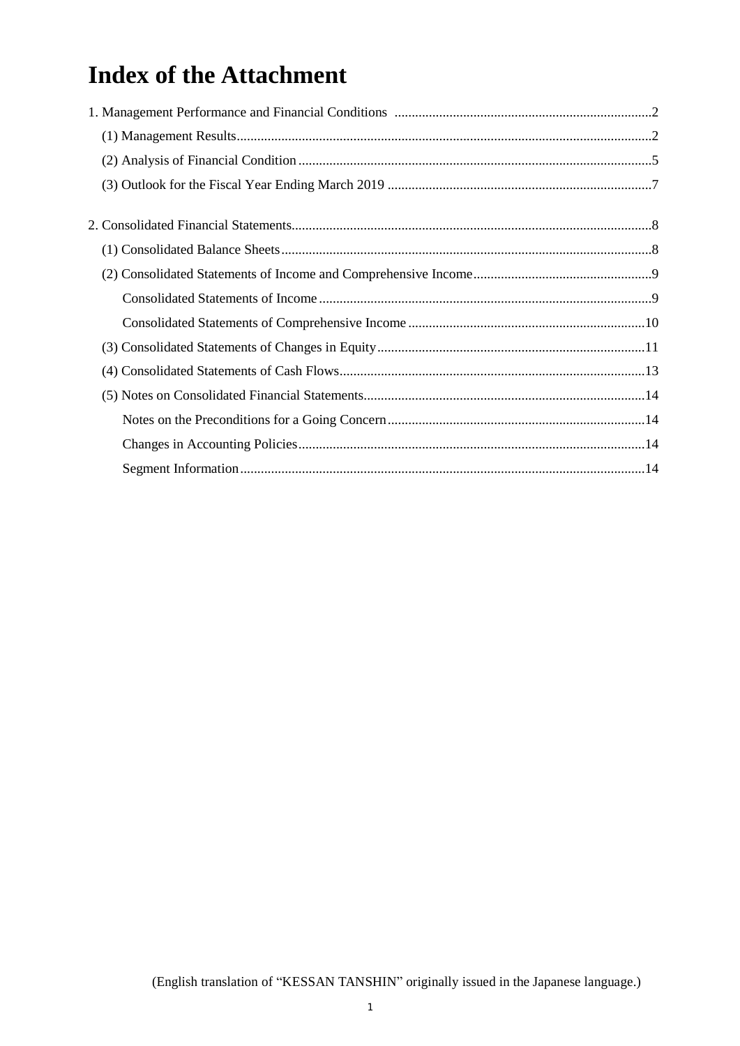# **Index of the Attachment**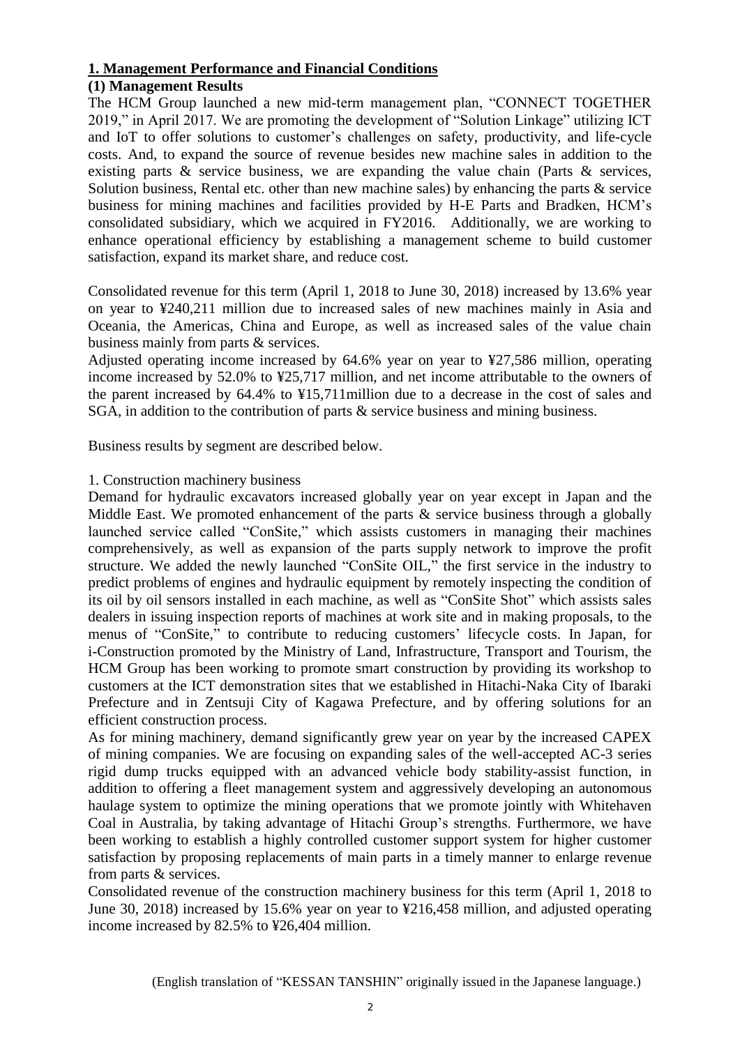# **1. Management Performance and Financial Conditions**

## **(1) Management Results**

The HCM Group launched a new mid-term management plan, "CONNECT TOGETHER 2019," in April 2017. We are promoting the development of "Solution Linkage" utilizing ICT and IoT to offer solutions to customer's challenges on safety, productivity, and life-cycle costs. And, to expand the source of revenue besides new machine sales in addition to the existing parts & service business, we are expanding the value chain (Parts & services, Solution business, Rental etc. other than new machine sales) by enhancing the parts  $\&$  service business for mining machines and facilities provided by H-E Parts and Bradken, HCM's consolidated subsidiary, which we acquired in FY2016. Additionally, we are working to enhance operational efficiency by establishing a management scheme to build customer satisfaction, expand its market share, and reduce cost.

Consolidated revenue for this term (April 1, 2018 to June 30, 2018) increased by 13.6% year on year to ¥240,211 million due to increased sales of new machines mainly in Asia and Oceania, the Americas, China and Europe, as well as increased sales of the value chain business mainly from parts & services.

Adjusted operating income increased by 64.6% year on year to ¥27,586 million, operating income increased by 52.0% to ¥25,717 million, and net income attributable to the owners of the parent increased by 64.4% to ¥15,711million due to a decrease in the cost of sales and SGA, in addition to the contribution of parts & service business and mining business.

Business results by segment are described below.

### 1. Construction machinery business

Demand for hydraulic excavators increased globally year on year except in Japan and the Middle East. We promoted enhancement of the parts  $\&$  service business through a globally launched service called "ConSite," which assists customers in managing their machines comprehensively, as well as expansion of the parts supply network to improve the profit structure. We added the newly launched "ConSite OIL," the first service in the industry to predict problems of engines and hydraulic equipment by remotely inspecting the condition of its oil by oil sensors installed in each machine, as well as "ConSite Shot" which assists sales dealers in issuing inspection reports of machines at work site and in making proposals, to the menus of "ConSite," to contribute to reducing customers' lifecycle costs. In Japan, for i-Construction promoted by the Ministry of Land, Infrastructure, Transport and Tourism, the HCM Group has been working to promote smart construction by providing its workshop to customers at the ICT demonstration sites that we established in Hitachi-Naka City of Ibaraki Prefecture and in Zentsuji City of Kagawa Prefecture, and by offering solutions for an efficient construction process.

As for mining machinery, demand significantly grew year on year by the increased CAPEX of mining companies. We are focusing on expanding sales of the well-accepted AC-3 series rigid dump trucks equipped with an advanced vehicle body stability-assist function, in addition to offering a fleet management system and aggressively developing an autonomous haulage system to optimize the mining operations that we promote jointly with Whitehaven Coal in Australia, by taking advantage of Hitachi Group's strengths. Furthermore, we have been working to establish a highly controlled customer support system for higher customer satisfaction by proposing replacements of main parts in a timely manner to enlarge revenue from parts & services.

Consolidated revenue of the construction machinery business for this term (April 1, 2018 to June 30, 2018) increased by 15.6% year on year to ¥216,458 million, and adjusted operating income increased by 82.5% to ¥26,404 million.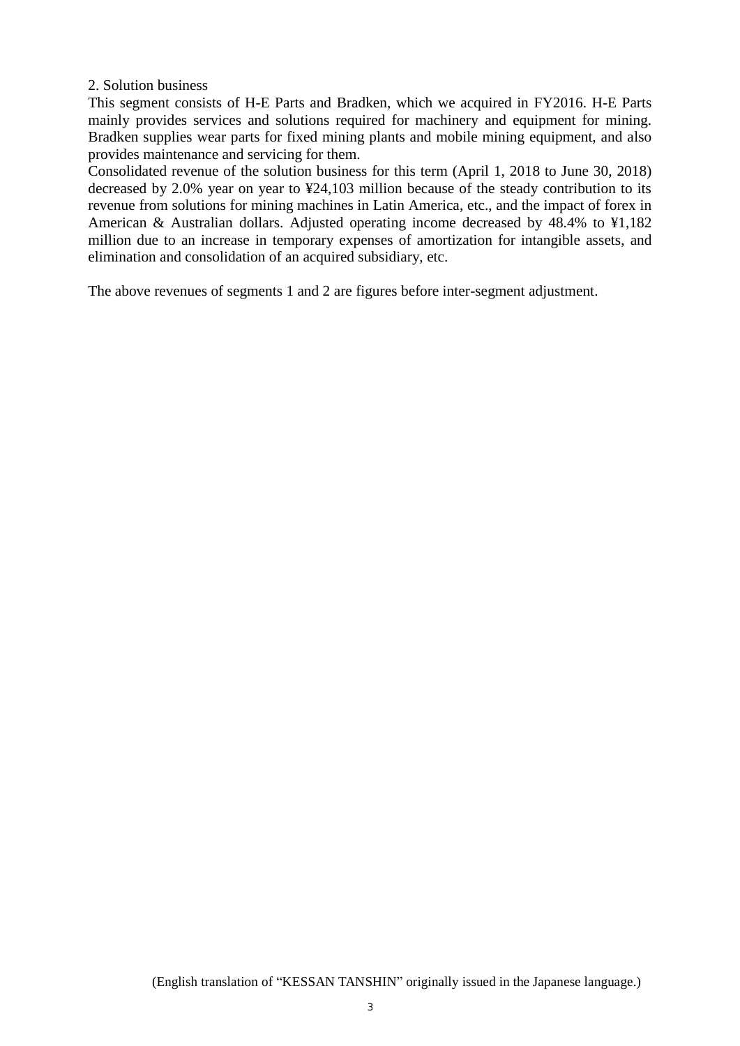2. Solution business

This segment consists of H-E Parts and Bradken, which we acquired in FY2016. H-E Parts mainly provides services and solutions required for machinery and equipment for mining. Bradken supplies wear parts for fixed mining plants and mobile mining equipment, and also provides maintenance and servicing for them.

Consolidated revenue of the solution business for this term (April 1, 2018 to June 30, 2018) decreased by 2.0% year on year to ¥24,103 million because of the steady contribution to its revenue from solutions for mining machines in Latin America, etc., and the impact of forex in American & Australian dollars. Adjusted operating income decreased by 48.4% to ¥1,182 million due to an increase in temporary expenses of amortization for intangible assets, and elimination and consolidation of an acquired subsidiary, etc.

The above revenues of segments 1 and 2 are figures before inter-segment adjustment.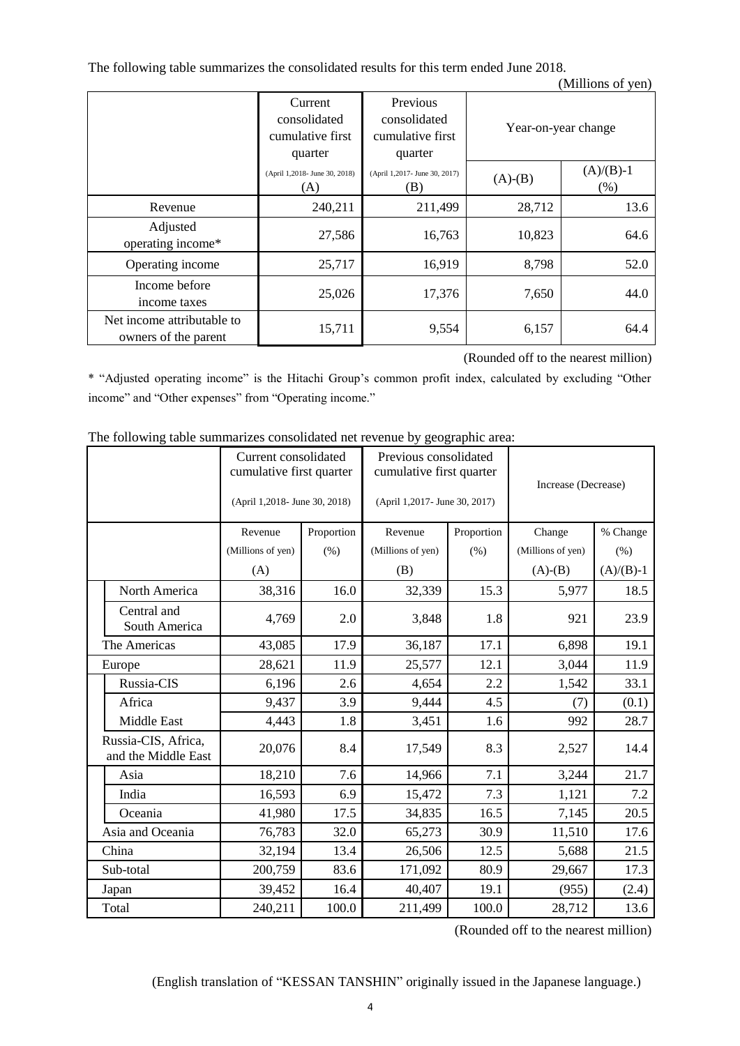The following table summarizes the consolidated results for this term ended June 2018.

|                                                    |                                                        |                                                         |           | (Millions of yen)   |
|----------------------------------------------------|--------------------------------------------------------|---------------------------------------------------------|-----------|---------------------|
|                                                    | Current<br>consolidated<br>cumulative first<br>quarter | Previous<br>consolidated<br>cumulative first<br>quarter |           | Year-on-year change |
|                                                    | (April 1,2018- June 30, 2018)<br>(A)                   | (April 1,2017- June 30, 2017)<br>(B)                    | $(A)-(B)$ | $(A)/(B)-1$<br>(% ) |
| Revenue                                            | 240,211                                                | 211,499                                                 | 28,712    | 13.6                |
| Adjusted<br>operating income*                      | 27,586                                                 | 16,763                                                  | 10,823    | 64.6                |
| Operating income                                   | 25,717                                                 | 16,919                                                  | 8,798     | 52.0                |
| Income before<br>income taxes                      | 25,026                                                 | 17,376                                                  | 7,650     | 44.0                |
| Net income attributable to<br>owners of the parent | 15,711                                                 | 9,554                                                   | 6,157     | 64.4                |

(Rounded off to the nearest million)

\* "Adjusted operating income" is the Hitachi Group's common profit index, calculated by excluding "Other income" and "Other expenses" from "Operating income."

|  |                                            | Current consolidated<br>cumulative first quarter<br>(April 1,2018- June 30, 2018) |            | Previous consolidated<br>cumulative first quarter<br>(April 1,2017- June 30, 2017) |            | Increase (Decrease) |             |
|--|--------------------------------------------|-----------------------------------------------------------------------------------|------------|------------------------------------------------------------------------------------|------------|---------------------|-------------|
|  |                                            | Revenue                                                                           | Proportion | Revenue                                                                            | Proportion | Change              | % Change    |
|  |                                            | (Millions of yen)                                                                 | (% )       | (Millions of yen)                                                                  | $(\% )$    | (Millions of yen)   | (% )        |
|  |                                            | (A)                                                                               |            | (B)                                                                                |            | $(A)-(B)$           | $(A)/(B)-1$ |
|  | North America                              | 38,316                                                                            | 16.0       | 32,339                                                                             | 15.3       | 5,977               | 18.5        |
|  | Central and<br>South America               | 4,769                                                                             | 2.0        | 3,848                                                                              | 1.8        | 921                 | 23.9        |
|  | The Americas                               | 43,085                                                                            | 17.9       | 36,187                                                                             | 17.1       | 6,898               | 19.1        |
|  | Europe                                     | 28,621                                                                            | 11.9       | 25,577                                                                             | 12.1       | 3,044               | 11.9        |
|  | Russia-CIS                                 | 6,196                                                                             | 2.6        | 4,654                                                                              | 2.2        | 1,542               | 33.1        |
|  | Africa                                     | 9,437                                                                             | 3.9        | 9,444                                                                              | 4.5        | (7)                 | (0.1)       |
|  | Middle East                                | 4,443                                                                             | 1.8        | 3,451                                                                              | 1.6        | 992                 | 28.7        |
|  | Russia-CIS, Africa,<br>and the Middle East | 20,076                                                                            | 8.4        | 17,549                                                                             | 8.3        | 2,527               | 14.4        |
|  | Asia                                       | 18,210                                                                            | 7.6        | 14,966                                                                             | 7.1        | 3,244               | 21.7        |
|  | India                                      | 16,593                                                                            | 6.9        | 15,472                                                                             | 7.3        | 1,121               | 7.2         |
|  | Oceania                                    | 41,980                                                                            | 17.5       | 34,835                                                                             | 16.5       | 7,145               | 20.5        |
|  | Asia and Oceania                           | 76,783                                                                            | 32.0       | 65,273                                                                             | 30.9       | 11,510              | 17.6        |
|  | China                                      | 32,194                                                                            | 13.4       | 26,506                                                                             | 12.5       | 5,688               | 21.5        |
|  | Sub-total                                  | 200,759                                                                           | 83.6       | 171,092                                                                            | 80.9       | 29,667              | 17.3        |
|  | Japan                                      | 39,452                                                                            | 16.4       | 40,407                                                                             | 19.1       | (955)               | (2.4)       |
|  | Total                                      | 240,211                                                                           | 100.0      | 211,499                                                                            | 100.0      | 28,712              | 13.6        |

The following table summarizes consolidated net revenue by geographic area:

(Rounded off to the nearest million)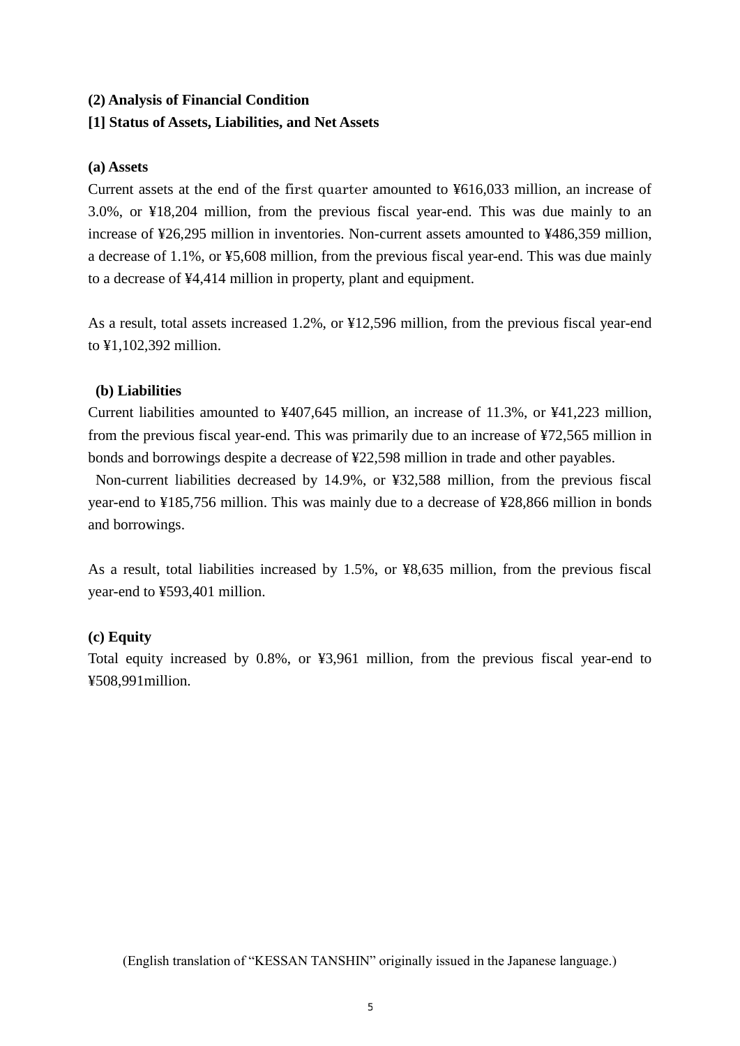## **(2) Analysis of Financial Condition**

### **[1] Status of Assets, Liabilities, and Net Assets**

### **(a) Assets**

Current assets at the end of the first quarter amounted to ¥616,033 million, an increase of 3.0%, or ¥18,204 million, from the previous fiscal year-end. This was due mainly to an increase of ¥26,295 million in inventories. Non-current assets amounted to ¥486,359 million, a decrease of 1.1%, or ¥5,608 million, from the previous fiscal year-end. This was due mainly to a decrease of ¥4,414 million in property, plant and equipment.

As a result, total assets increased 1.2%, or ¥12,596 million, from the previous fiscal year-end to ¥1,102,392 million.

### **(b) Liabilities**

Current liabilities amounted to ¥407,645 million, an increase of 11.3%, or ¥41,223 million, from the previous fiscal year-end. This was primarily due to an increase of ¥72,565 million in bonds and borrowings despite a decrease of ¥22,598 million in trade and other payables.

Non-current liabilities decreased by 14.9%, or ¥32,588 million, from the previous fiscal year-end to ¥185,756 million. This was mainly due to a decrease of ¥28,866 million in bonds and borrowings.

As a result, total liabilities increased by 1.5%, or ¥8,635 million, from the previous fiscal year-end to ¥593,401 million.

### **(c) Equity**

Total equity increased by 0.8%, or ¥3,961 million, from the previous fiscal year-end to ¥508,991million.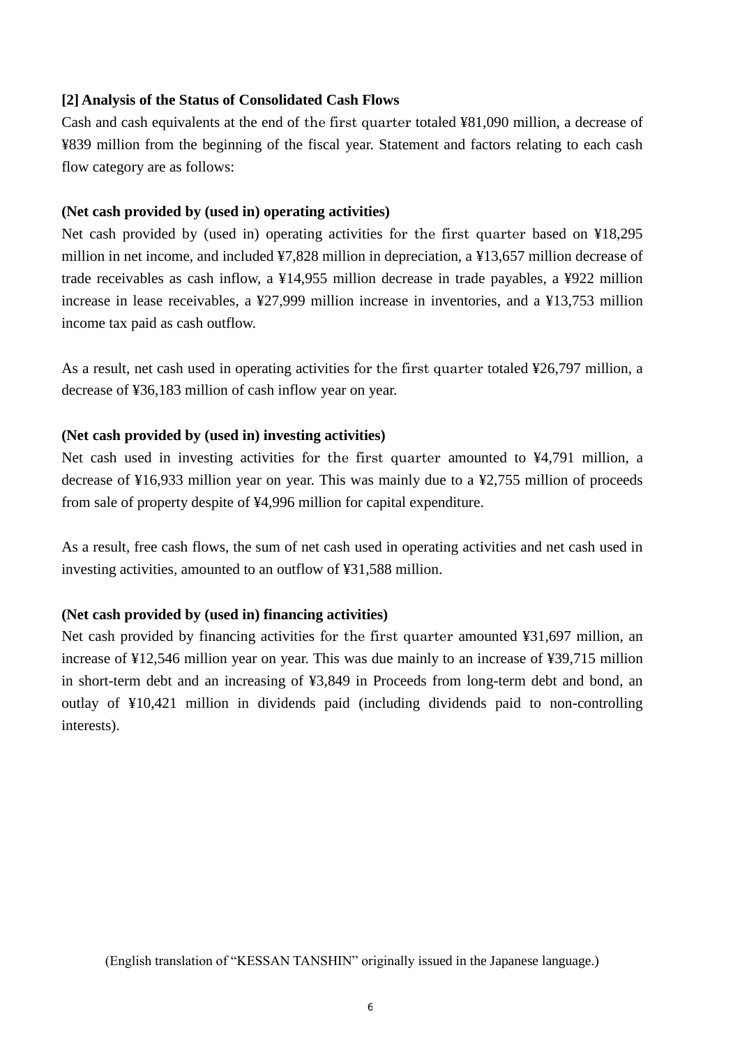### **[2] Analysis of the Status of Consolidated Cash Flows**

Cash and cash equivalents at the end of the first quarter totaled ¥81,090 million, a decrease of ¥839 million from the beginning of the fiscal year. Statement and factors relating to each cash flow category are as follows:

#### **(Net cash provided by (used in) operating activities)**

Net cash provided by (used in) operating activities for the first quarter based on ¥18,295 million in net income, and included ¥7,828 million in depreciation, a ¥13,657 million decrease of trade receivables as cash inflow, a ¥14,955 million decrease in trade payables, a ¥922 million increase in lease receivables, a ¥27,999 million increase in inventories, and a ¥13,753 million income tax paid as cash outflow.

As a result, net cash used in operating activities for the first quarter totaled ¥26,797 million, a decrease of ¥36,183 million of cash inflow year on year.

#### **(Net cash provided by (used in) investing activities)**

Net cash used in investing activities for the first quarter amounted to ¥4,791 million, a decrease of ¥16,933 million year on year. This was mainly due to a ¥2,755 million of proceeds from sale of property despite of ¥4,996 million for capital expenditure.

As a result, free cash flows, the sum of net cash used in operating activities and net cash used in investing activities, amounted to an outflow of ¥31,588 million.

#### **(Net cash provided by (used in) financing activities)**

Net cash provided by financing activities for the first quarter amounted ¥31,697 million, an increase of ¥12,546 million year on year. This was due mainly to an increase of ¥39,715 million in short-term debt and an increasing of ¥3,849 in Proceeds from long-term debt and bond, an outlay of ¥10,421 million in dividends paid (including dividends paid to non-controlling interests).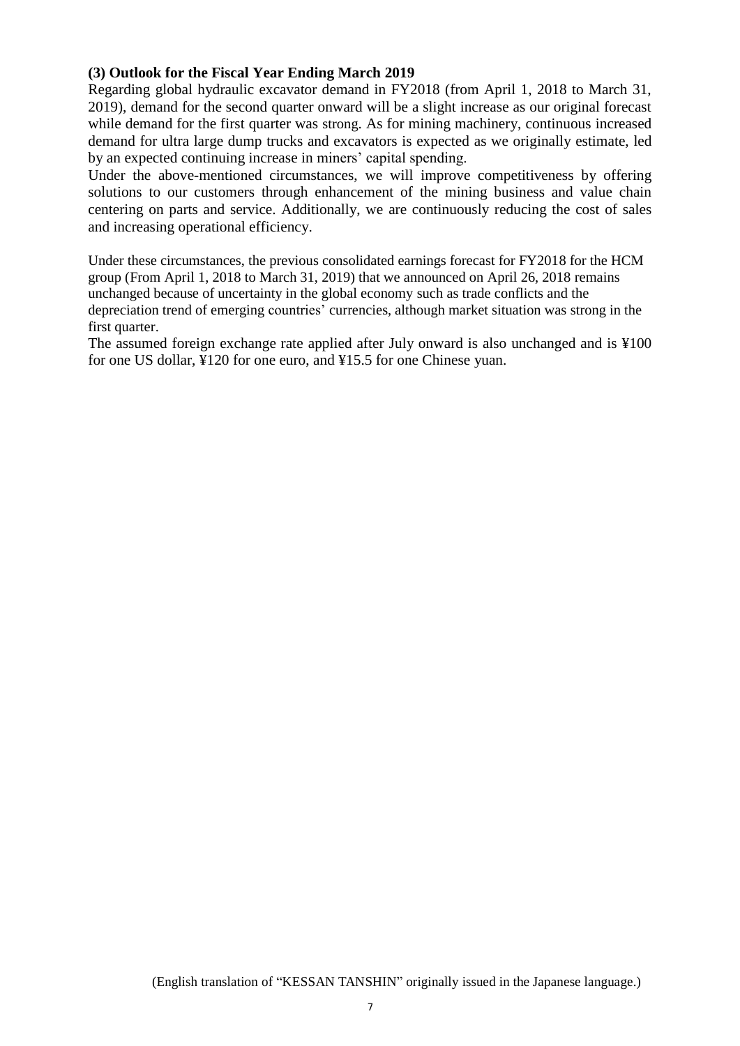### **(3) Outlook for the Fiscal Year Ending March 2019**

Regarding global hydraulic excavator demand in FY2018 (from April 1, 2018 to March 31, 2019), demand for the second quarter onward will be a slight increase as our original forecast while demand for the first quarter was strong. As for mining machinery, continuous increased demand for ultra large dump trucks and excavators is expected as we originally estimate, led by an expected continuing increase in miners' capital spending.

Under the above-mentioned circumstances, we will improve competitiveness by offering solutions to our customers through enhancement of the mining business and value chain centering on parts and service. Additionally, we are continuously reducing the cost of sales and increasing operational efficiency.

Under these circumstances, the previous consolidated earnings forecast for FY2018 for the HCM group (From April 1, 2018 to March 31, 2019) that we announced on April 26, 2018 remains unchanged because of uncertainty in the global economy such as trade conflicts and the depreciation trend of emerging countries' currencies, although market situation was strong in the first quarter.

The assumed foreign exchange rate applied after July onward is also unchanged and is ¥100 for one US dollar, ¥120 for one euro, and ¥15.5 for one Chinese yuan.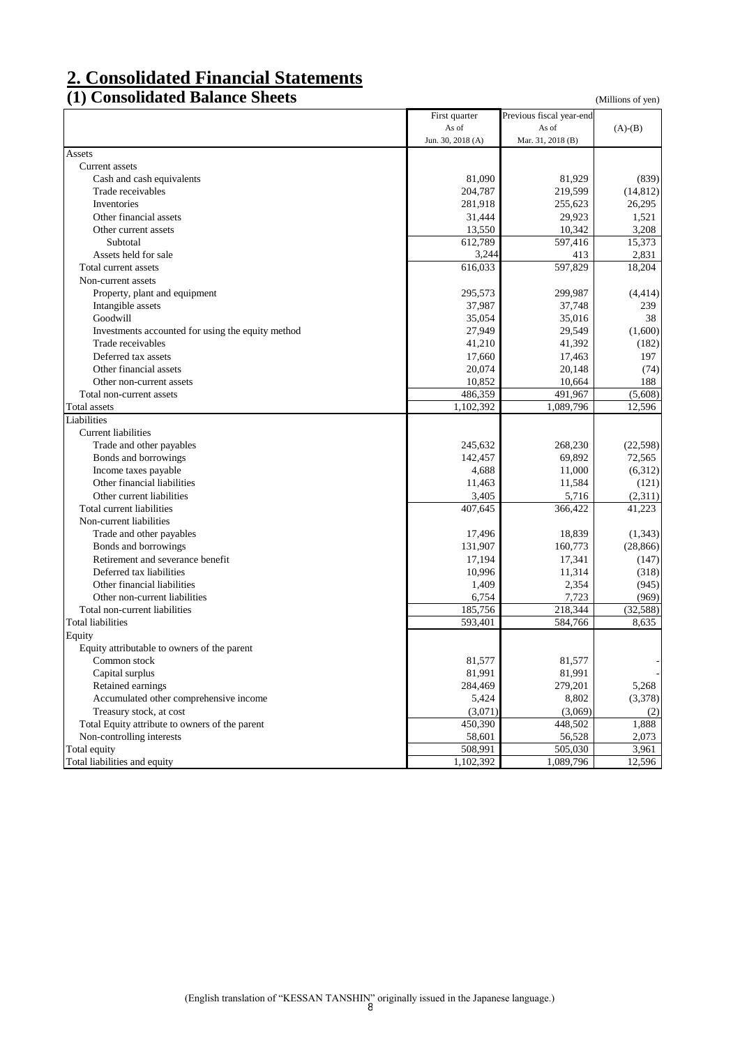# **2. Consolidated Financial Statements**

## **(1) Consolidated Balance Sheets** (Millions of yen)

|                                                   | First quarter     | Previous fiscal year-end |           |
|---------------------------------------------------|-------------------|--------------------------|-----------|
|                                                   | As of             | As of                    | $(A)-(B)$ |
|                                                   | Jun. 30, 2018 (A) | Mar. 31, 2018 (B)        |           |
| Assets                                            |                   |                          |           |
| Current assets                                    |                   |                          |           |
| Cash and cash equivalents                         | 81,090            | 81,929                   | (839)     |
| Trade receivables                                 | 204,787           | 219,599                  | (14, 812) |
| Inventories                                       | 281,918           | 255,623                  | 26,295    |
| Other financial assets                            | 31,444            | 29,923                   | 1,521     |
| Other current assets                              | 13,550            | 10,342                   | 3,208     |
| Subtotal                                          | 612,789           | 597,416                  | 15,373    |
| Assets held for sale                              | 3,244             | 413                      | 2,831     |
| Total current assets                              | 616,033           | 597,829                  | 18,204    |
| Non-current assets                                |                   |                          |           |
| Property, plant and equipment                     | 295,573           | 299,987                  | (4, 414)  |
| Intangible assets                                 | 37,987            | 37,748                   | 239       |
| Goodwill                                          | 35,054            | 35,016                   | 38        |
| Investments accounted for using the equity method | 27,949            | 29,549                   | (1,600)   |
| Trade receivables                                 | 41,210            | 41,392                   | (182)     |
| Deferred tax assets                               | 17,660            | 17,463                   | 197       |
| Other financial assets                            | 20,074            | 20,148                   | (74)      |
| Other non-current assets                          | 10,852            | 10,664                   | 188       |
| Total non-current assets                          | 486,359           | 491,967                  | (5,608)   |
|                                                   | 1,102,392         | 1,089,796                | 12,596    |
| Total assets<br>Liabilities                       |                   |                          |           |
|                                                   |                   |                          |           |
| <b>Current liabilities</b>                        |                   |                          |           |
| Trade and other payables                          | 245,632           | 268,230                  | (22, 598) |
| Bonds and borrowings                              | 142,457           | 69,892                   | 72,565    |
| Income taxes payable                              | 4,688             | 11,000                   | (6,312)   |
| Other financial liabilities                       | 11,463            | 11,584                   | (121)     |
| Other current liabilities                         | 3,405             | 5,716                    | (2,311)   |
| Total current liabilities                         | 407,645           | 366,422                  | 41,223    |
| Non-current liabilities                           |                   |                          |           |
| Trade and other payables                          | 17,496            | 18,839                   | (1, 343)  |
| Bonds and borrowings                              | 131,907           | 160,773                  | (28, 866) |
| Retirement and severance benefit                  | 17,194            | 17,341                   | (147)     |
| Deferred tax liabilities                          | 10,996            | 11,314                   | (318)     |
| Other financial liabilities                       | 1,409             | 2,354                    | (945)     |
| Other non-current liabilities                     | 6,754             | 7,723                    | (969)     |
| Total non-current liabilities                     | 185,756           | 218,344                  | (32, 588) |
| <b>Total liabilities</b>                          | 593,401           | 584,766                  | 8,635     |
| Equity                                            |                   |                          |           |
| Equity attributable to owners of the parent       |                   |                          |           |
| Common stock                                      | 81,577            | 81,577                   |           |
| Capital surplus                                   | 81,991            | 81,991                   |           |
| Retained earnings                                 | 284,469           | 279,201                  | 5,268     |
| Accumulated other comprehensive income            | 5,424             | 8,802                    | (3,378)   |
| Treasury stock, at cost                           | (3,071)           | (3,069)                  | (2)       |
| Total Equity attribute to owners of the parent    | 450,390           | 448,502                  | 1,888     |
| Non-controlling interests                         | 58,601            | 56,528                   | 2,073     |
| Total equity                                      | 508,991           | 505,030                  | 3,961     |
| Total liabilities and equity                      | 1,102,392         | 1,089,796                | 12,596    |
|                                                   |                   |                          |           |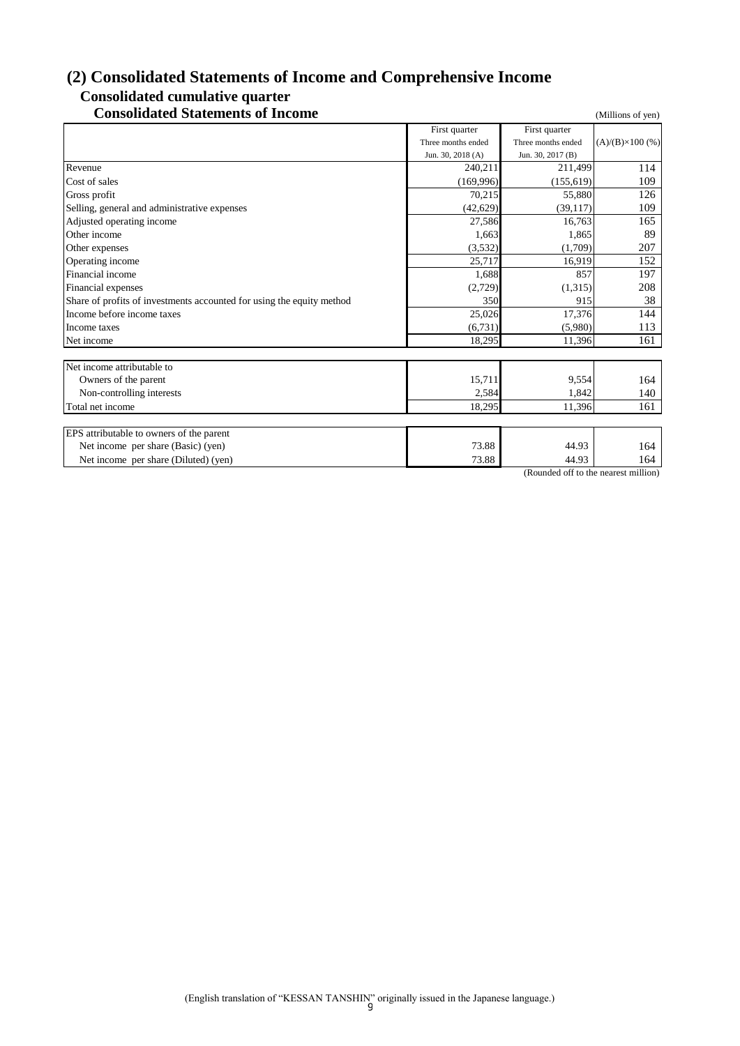# **(2) Consolidated Statements of Income and Comprehensive Income Consolidated cumulative quarter**

# **Consolidated Statements of Income** (Millions of yen)

|                                                                       | First quarter      | First quarter                        |                         |
|-----------------------------------------------------------------------|--------------------|--------------------------------------|-------------------------|
|                                                                       | Three months ended | Three months ended                   | $(A)/(B)\times 100$ (%) |
|                                                                       | Jun. 30, 2018 (A)  | Jun. 30, 2017 (B)                    |                         |
| Revenue                                                               | 240,211            | 211,499                              | 114                     |
| Cost of sales                                                         | (169.996)          | (155, 619)                           | 109                     |
| Gross profit                                                          | 70,215             | 55,880                               | 126                     |
| Selling, general and administrative expenses                          | (42, 629)          | (39,117)                             | 109                     |
| Adjusted operating income                                             | 27,586             | 16,763                               | 165                     |
| Other income                                                          | 1,663              | 1,865                                | 89                      |
| Other expenses                                                        | (3,532)            | (1,709)                              | 207                     |
| Operating income                                                      | 25,717             | 16,919                               | 152                     |
| Financial income                                                      | 1,688              | 857                                  | 197                     |
| Financial expenses                                                    | (2,729)            | (1,315)                              | 208                     |
| Share of profits of investments accounted for using the equity method | 350                | 915                                  | 38                      |
| Income before income taxes                                            | 25,026             | 17,376                               | 144                     |
| Income taxes                                                          | (6,731)            | (5,980)                              | 113                     |
| Net income                                                            | 18,295             | 11,396                               | 161                     |
|                                                                       |                    |                                      |                         |
| Net income attributable to                                            |                    |                                      |                         |
| Owners of the parent                                                  | 15,711             | 9,554                                | 164                     |
| Non-controlling interests                                             | 2,584              | 1,842                                | 140                     |
| Total net income                                                      | 18,295             | 11,396                               | 161                     |
|                                                                       |                    |                                      |                         |
| EPS attributable to owners of the parent                              |                    |                                      |                         |
| Net income per share (Basic) (yen)                                    | 73.88              | 44.93                                | 164                     |
| Net income per share (Diluted) (yen)                                  | 73.88              | 44.93                                | 164                     |
|                                                                       |                    | (Rounded off to the negrest million) |                         |

(Rounded off to the nearest mi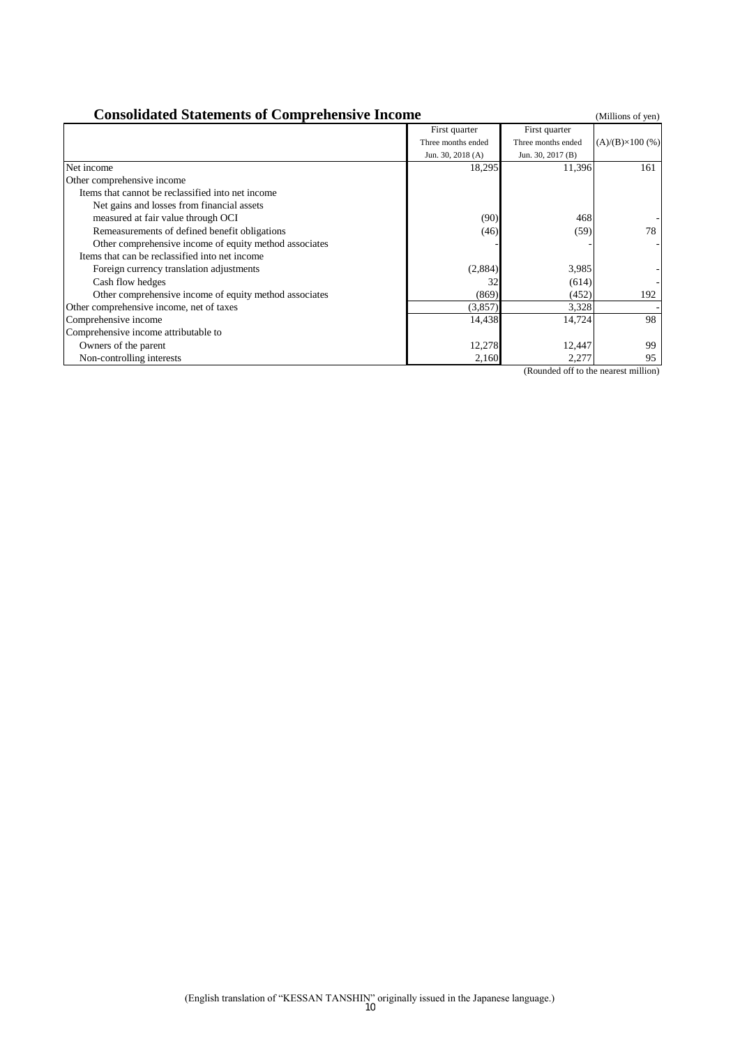| <b>Consolidated Statements of Comprehensive Income</b> |                    |                    |                         |  |  |
|--------------------------------------------------------|--------------------|--------------------|-------------------------|--|--|
|                                                        | First quarter      | First quarter      |                         |  |  |
|                                                        | Three months ended | Three months ended | $(A)/(B)\times 100$ (%) |  |  |
|                                                        | Jun. 30, 2018 (A)  | Jun. 30, 2017 (B)  |                         |  |  |
| Net income                                             | 18,295             | 11,396             | 161                     |  |  |
| Other comprehensive income                             |                    |                    |                         |  |  |
| Items that cannot be reclassified into net income      |                    |                    |                         |  |  |
| Net gains and losses from financial assets             |                    |                    |                         |  |  |
| measured at fair value through OCI                     | (90)               | 468                |                         |  |  |
| Remeasurements of defined benefit obligations          | (46)               | (59)               | 78                      |  |  |
| Other comprehensive income of equity method associates |                    |                    |                         |  |  |
| Items that can be reclassified into net income         |                    |                    |                         |  |  |
| Foreign currency translation adjustments               | (2,884)            | 3,985              |                         |  |  |
| Cash flow hedges                                       | 32                 | (614)              |                         |  |  |
| Other comprehensive income of equity method associates | (869)              | (452)              | 192                     |  |  |
| Other comprehensive income, net of taxes               | (3,857)            | 3,328              |                         |  |  |
| Comprehensive income                                   | 14,438             | 14,724             | 98                      |  |  |
| Comprehensive income attributable to                   |                    |                    |                         |  |  |
| Owners of the parent                                   | 12,278             | 12,447             | 99                      |  |  |
| Non-controlling interests                              | 2,160              | 2,277              | 95                      |  |  |

(Rounded off to the nearest million)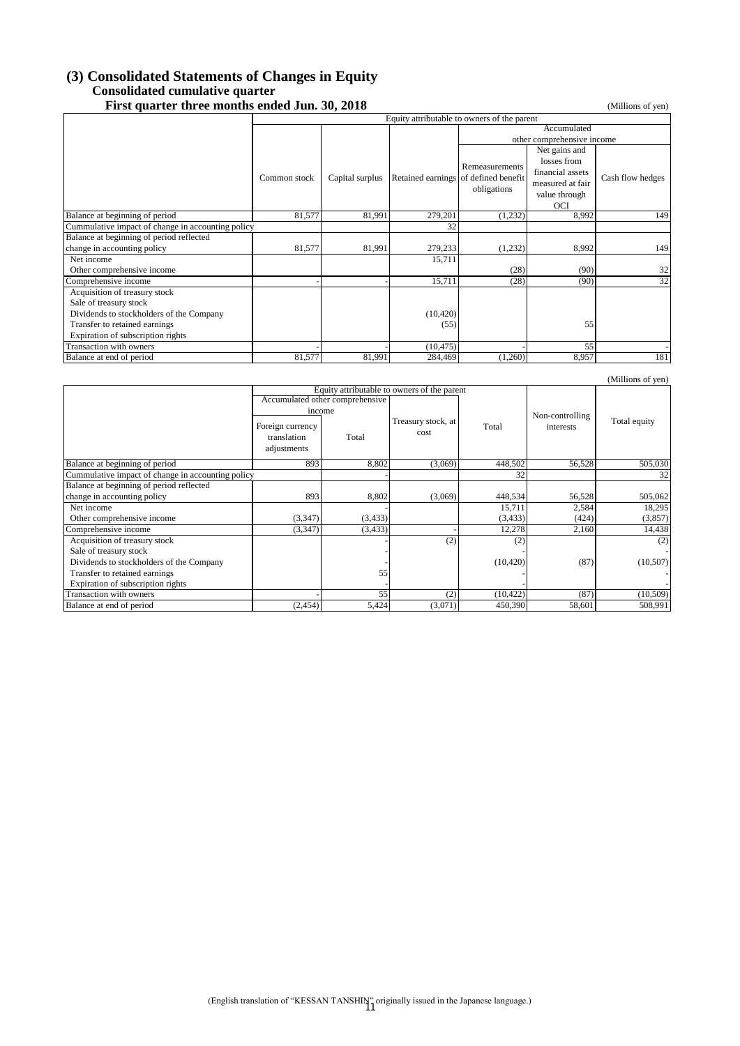#### **(3) Consolidated Statements of Changes in Equity Consolidated cumulative quarter First quarter three months ended Jun. 30, 2018** (Millions of yen) (Millions of yen)

|                                          | Equity attributable to owners of the parent       |                 |           |                                      |                  |                  |  |
|------------------------------------------|---------------------------------------------------|-----------------|-----------|--------------------------------------|------------------|------------------|--|
|                                          |                                                   |                 |           | Accumulated                          |                  |                  |  |
|                                          |                                                   |                 |           | other comprehensive income           |                  |                  |  |
|                                          |                                                   |                 |           |                                      | Net gains and    |                  |  |
|                                          |                                                   |                 |           | Remeasurements                       | losses from      |                  |  |
|                                          | Common stock                                      |                 |           |                                      | financial assets |                  |  |
|                                          |                                                   | Capital surplus |           | Retained earnings of defined benefit | measured at fair | Cash flow hedges |  |
|                                          |                                                   |                 |           | obligations                          | value through    |                  |  |
|                                          |                                                   |                 |           |                                      | <b>OCI</b>       |                  |  |
| Balance at beginning of period           | 81,577                                            | 81,991          | 279,201   | (1,232)                              | 8,992            | 149              |  |
|                                          | Cummulative impact of change in accounting policy |                 | 32        |                                      |                  |                  |  |
| Balance at beginning of period reflected |                                                   |                 |           |                                      |                  |                  |  |
| change in accounting policy              | 81,577                                            | 81,991          | 279,233   | (1,232)                              | 8,992            | 149              |  |
| Net income                               |                                                   |                 | 15,711    |                                      |                  |                  |  |
| Other comprehensive income               |                                                   |                 |           | (28)                                 | (90)             | 32               |  |
| Comprehensive income                     |                                                   |                 | 15,711    | (28)                                 | (90)             | 32               |  |
| Acquisition of treasury stock            |                                                   |                 |           |                                      |                  |                  |  |
| Sale of treasury stock                   |                                                   |                 |           |                                      |                  |                  |  |
| Dividends to stockholders of the Company |                                                   |                 | (10, 420) |                                      |                  |                  |  |
| Transfer to retained earnings            |                                                   |                 | (55)      |                                      | 55               |                  |  |
| Expiration of subscription rights        |                                                   |                 |           |                                      |                  |                  |  |
| Transaction with owners                  |                                                   |                 | (10, 475) |                                      | 55               |                  |  |
| Balance at end of period                 | 81,577                                            | 81,991          | 284,469   | (1,260)                              | 8,957            | 181              |  |

|                                                   |                                 |                                             |         |           |                 | (Millions of yen) |
|---------------------------------------------------|---------------------------------|---------------------------------------------|---------|-----------|-----------------|-------------------|
|                                                   |                                 | Equity attributable to owners of the parent |         |           |                 |                   |
|                                                   |                                 | Accumulated other comprehensive             |         |           |                 |                   |
|                                                   | income                          |                                             |         |           | Non-controlling |                   |
|                                                   | Foreign currency<br>translation | Treasury stock, at<br>cost                  |         | Total     | interests       | Total equity      |
|                                                   | adjustments                     | Total                                       |         |           |                 |                   |
| Balance at beginning of period                    | 893                             | 8,802                                       | (3,069) | 448,502   | 56,528          | 505,030           |
| Cummulative impact of change in accounting policy |                                 |                                             |         | 32        |                 | 32                |
| Balance at beginning of period reflected          |                                 |                                             |         |           |                 |                   |
| change in accounting policy                       | 893                             | 8,802                                       | (3,069) | 448,534   | 56,528          | 505,062           |
| Net income                                        |                                 |                                             |         | 15,711    | 2,584           | 18,295            |
| Other comprehensive income                        | (3,347)                         | (3, 433)                                    |         | (3, 433)  | (424)           | (3,857)           |
| Comprehensive income                              | (3,347)                         | (3, 433)                                    |         | 12,278    | 2,160           | 14,438            |
| Acquisition of treasury stock                     |                                 |                                             | (2)     | (2)       |                 | (2)               |
| Sale of treasury stock                            |                                 |                                             |         |           |                 |                   |
| Dividends to stockholders of the Company          |                                 |                                             |         | (10, 420) | (87)            | (10,507)          |
| Transfer to retained earnings                     |                                 | 55                                          |         |           |                 |                   |
| Expiration of subscription rights                 |                                 |                                             |         |           |                 |                   |
| Transaction with owners                           |                                 | 55                                          | (2)     | (10, 422) | (87)            | (10, 509)         |
| Balance at end of period                          | (2, 454)                        | 5,424                                       | (3,071) | 450,390   | 58,601          | 508,991           |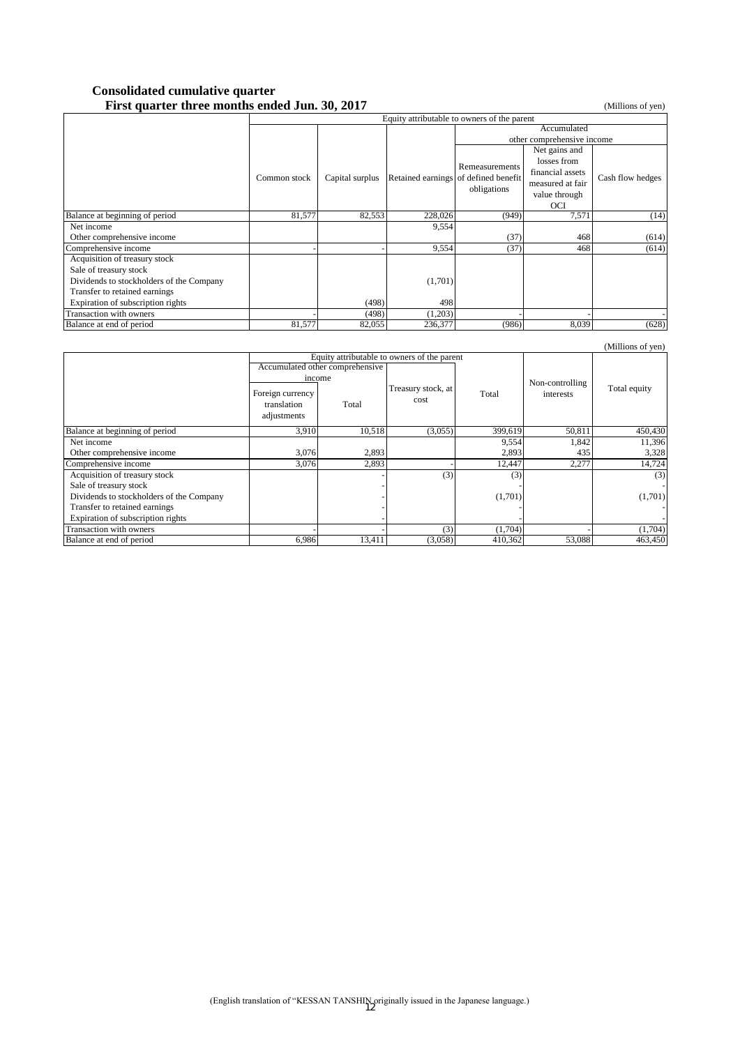#### **Consolidated cumulative quarter First quarter three months ended Jun. 30, 2017** (Millions of yen)

|                                          | Equity attributable to owners of the parent |                 |         |                                                                       |                  |                  |  |
|------------------------------------------|---------------------------------------------|-----------------|---------|-----------------------------------------------------------------------|------------------|------------------|--|
|                                          |                                             |                 |         | Accumulated                                                           |                  |                  |  |
|                                          |                                             |                 |         | other comprehensive income                                            |                  |                  |  |
|                                          |                                             |                 |         |                                                                       | Net gains and    |                  |  |
|                                          |                                             |                 |         | Remeasurements<br>Retained earnings of defined benefit<br>obligations | losses from      |                  |  |
|                                          | Common stock                                |                 |         |                                                                       | financial assets |                  |  |
|                                          |                                             | Capital surplus |         |                                                                       | measured at fair | Cash flow hedges |  |
|                                          |                                             |                 |         |                                                                       | value through    |                  |  |
|                                          |                                             |                 |         |                                                                       | OCI              |                  |  |
| Balance at beginning of period           | 81,577                                      | 82,553          | 228,026 | (949)                                                                 | 7,571            | (14)             |  |
| Net income                               |                                             |                 | 9,554   |                                                                       |                  |                  |  |
| Other comprehensive income               |                                             |                 |         | (37)                                                                  | 468              | (614)            |  |
| Comprehensive income                     |                                             |                 | 9,554   | (37)                                                                  | 468              | (614)            |  |
| Acquisition of treasury stock            |                                             |                 |         |                                                                       |                  |                  |  |
| Sale of treasury stock                   |                                             |                 |         |                                                                       |                  |                  |  |
| Dividends to stockholders of the Company |                                             |                 | (1,701) |                                                                       |                  |                  |  |
| Transfer to retained earnings            |                                             |                 |         |                                                                       |                  |                  |  |
| Expiration of subscription rights        |                                             | (498)           | 498     |                                                                       |                  |                  |  |
| Transaction with owners                  |                                             | (498)           | (1,203) |                                                                       |                  |                  |  |
| Balance at end of period                 | 81,577                                      | 82,055          | 236,377 | (986)                                                                 | 8,039            | (628)            |  |

|                                                                                                                | income<br>Foreign currency<br>translation<br>adjustments | Accumulated other comprehensive<br>Total | Equity attributable to owners of the parent<br>Treasury stock, at<br>cost | Total   | Non-controlling<br>interests | Total equity |
|----------------------------------------------------------------------------------------------------------------|----------------------------------------------------------|------------------------------------------|---------------------------------------------------------------------------|---------|------------------------------|--------------|
| Balance at beginning of period                                                                                 | 3,910                                                    | 10,518                                   | (3,055)                                                                   | 399,619 | 50,811                       | 450,430      |
| Net income                                                                                                     |                                                          |                                          |                                                                           | 9,554   | 1,842                        | 11,396       |
| Other comprehensive income                                                                                     | 3,076                                                    | 2,893                                    |                                                                           | 2,893   | 435                          | 3,328        |
| Comprehensive income                                                                                           | 3,076                                                    | 2,893                                    |                                                                           | 12,447  | 2,277                        | 14,724       |
| Acquisition of treasury stock<br>Sale of treasury stock                                                        |                                                          |                                          | (3)                                                                       | (3)     |                              | (3)          |
| Dividends to stockholders of the Company<br>Transfer to retained earnings<br>Expiration of subscription rights |                                                          |                                          |                                                                           | (1,701) |                              | (1,701)      |
| Transaction with owners                                                                                        |                                                          |                                          | (3)                                                                       | (1,704) |                              | (1,704)      |
| Balance at end of period                                                                                       | 6,986                                                    | 13,411                                   | (3,058)                                                                   | 410,362 | 53,088                       | 463,450      |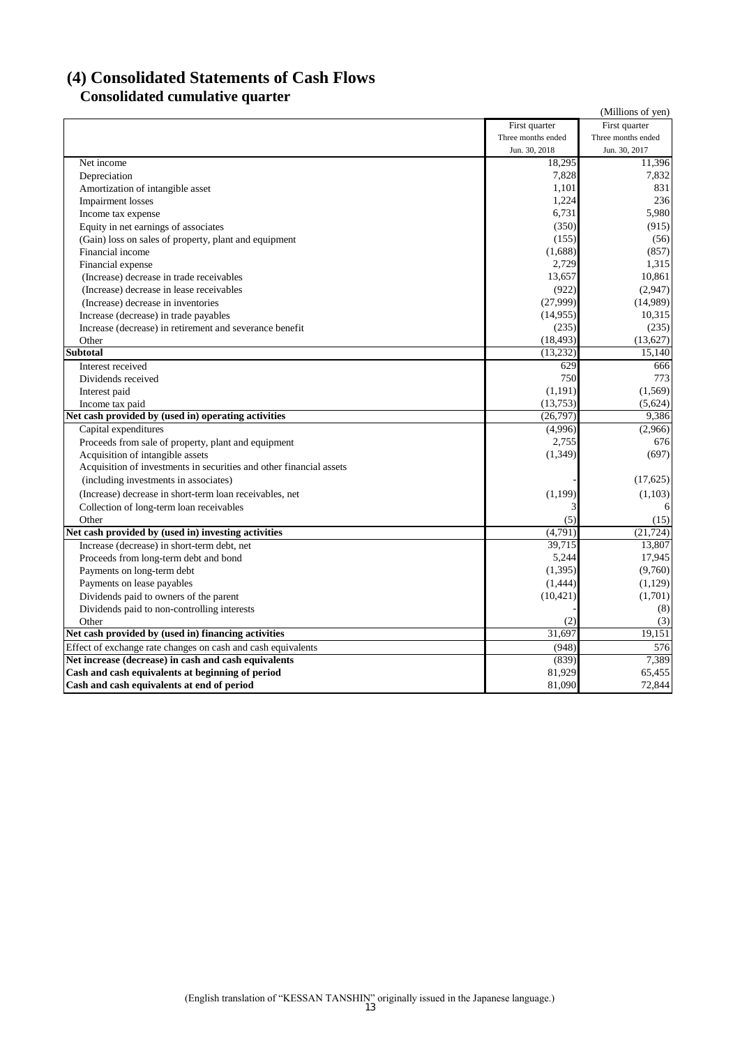# **(4) Consolidated Statements of Cash Flows Consolidated cumulative quarter**

|                                                                     |                    | (Millions of yen)  |
|---------------------------------------------------------------------|--------------------|--------------------|
|                                                                     | First quarter      | First quarter      |
|                                                                     | Three months ended | Three months ended |
|                                                                     | Jun. 30, 2018      | Jun. 30, 2017      |
| Net income                                                          | 18,295             | 11,396             |
| Depreciation                                                        | 7,828              | 7,832              |
| Amortization of intangible asset                                    | 1,101              | 831                |
| Impairment losses                                                   | 1,224              | 236                |
| Income tax expense                                                  | 6,731              | 5,980              |
| Equity in net earnings of associates                                | (350)              | (915)              |
| (Gain) loss on sales of property, plant and equipment               | (155)              | (56)               |
| Financial income                                                    | (1,688)            | (857)              |
| Financial expense                                                   | 2.729              | 1,315              |
| (Increase) decrease in trade receivables                            | 13,657             | 10,861             |
| (Increase) decrease in lease receivables                            | (922)              | (2,947)            |
| (Increase) decrease in inventories                                  | (27,999)           | (14,989)           |
| Increase (decrease) in trade payables                               | (14, 955)          | 10,315             |
| Increase (decrease) in retirement and severance benefit             | (235)              | (235)              |
| Other                                                               | (18, 493)          | (13,627)           |
| Subtotal                                                            | (13, 232)          | 15,140             |
| Interest received                                                   | 629                | 666                |
| Dividends received                                                  | 750                | 773                |
| Interest paid                                                       | (1, 191)           | (1,569)            |
| Income tax paid                                                     | (13, 753)          | (5,624)            |
| Net cash provided by (used in) operating activities                 | (26,797)           | 9,386              |
| Capital expenditures                                                | (4,996)            | (2,966)            |
| Proceeds from sale of property, plant and equipment                 | 2,755              | 676                |
| Acquisition of intangible assets                                    | (1, 349)           | (697)              |
| Acquisition of investments in securities and other financial assets |                    |                    |
| (including investments in associates)                               |                    | (17,625)           |
| (Increase) decrease in short-term loan receivables, net             | (1,199)            | (1,103)            |
| Collection of long-term loan receivables                            |                    | 6                  |
| Other                                                               | (5)                | (15)               |
| Net cash provided by (used in) investing activities                 | (4,791)            | (21, 724)          |
| Increase (decrease) in short-term debt, net                         | 39,715             | 13,807             |
| Proceeds from long-term debt and bond                               | 5,244              | 17,945             |
| Payments on long-term debt                                          | (1, 395)           | (9,760)            |
| Payments on lease payables                                          | (1,444)            | (1,129)            |
| Dividends paid to owners of the parent                              | (10, 421)          | (1,701)            |
| Dividends paid to non-controlling interests                         |                    | (8)                |
| Other                                                               | (2)                | (3)                |
| Net cash provided by (used in) financing activities                 | 31,697             | 19.151             |
| Effect of exchange rate changes on cash and cash equivalents        | (948)              | 576                |
| Net increase (decrease) in cash and cash equivalents                | (839)              | 7,389              |
| Cash and cash equivalents at beginning of period                    | 81,929             | 65,455             |
| Cash and cash equivalents at end of period                          | 81,090             | 72,844             |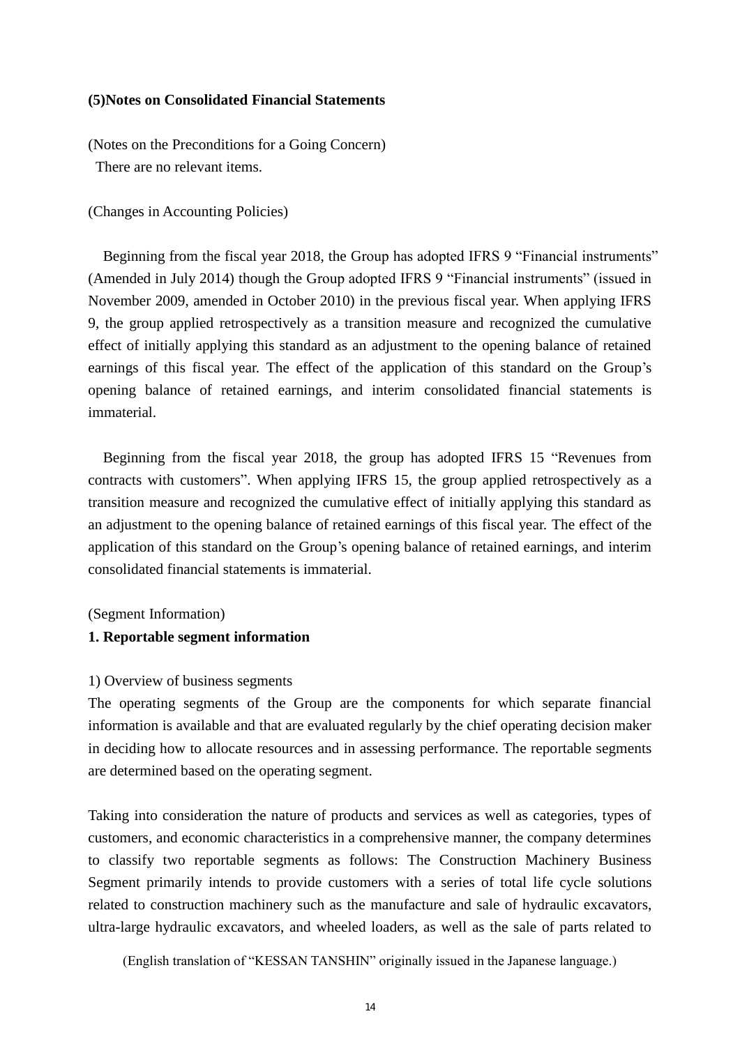#### **(5)Notes on Consolidated Financial Statements**

(Notes on the Preconditions for a Going Concern) There are no relevant items.

(Changes in Accounting Policies)

Beginning from the fiscal year 2018, the Group has adopted IFRS 9 "Financial instruments" (Amended in July 2014) though the Group adopted IFRS 9 "Financial instruments" (issued in November 2009, amended in October 2010) in the previous fiscal year. When applying IFRS 9, the group applied retrospectively as a transition measure and recognized the cumulative effect of initially applying this standard as an adjustment to the opening balance of retained earnings of this fiscal year. The effect of the application of this standard on the Group's opening balance of retained earnings, and interim consolidated financial statements is immaterial.

 Beginning from the fiscal year 2018, the group has adopted IFRS 15 "Revenues from contracts with customers". When applying IFRS 15, the group applied retrospectively as a transition measure and recognized the cumulative effect of initially applying this standard as an adjustment to the opening balance of retained earnings of this fiscal year. The effect of the application of this standard on the Group's opening balance of retained earnings, and interim consolidated financial statements is immaterial.

(Segment Information)

#### **1. Reportable segment information**

#### 1) Overview of business segments

The operating segments of the Group are the components for which separate financial information is available and that are evaluated regularly by the chief operating decision maker in deciding how to allocate resources and in assessing performance. The reportable segments are determined based on the operating segment.

Taking into consideration the nature of products and services as well as categories, types of customers, and economic characteristics in a comprehensive manner, the company determines to classify two reportable segments as follows: The Construction Machinery Business Segment primarily intends to provide customers with a series of total life cycle solutions related to construction machinery such as the manufacture and sale of hydraulic excavators, ultra-large hydraulic excavators, and wheeled loaders, as well as the sale of parts related to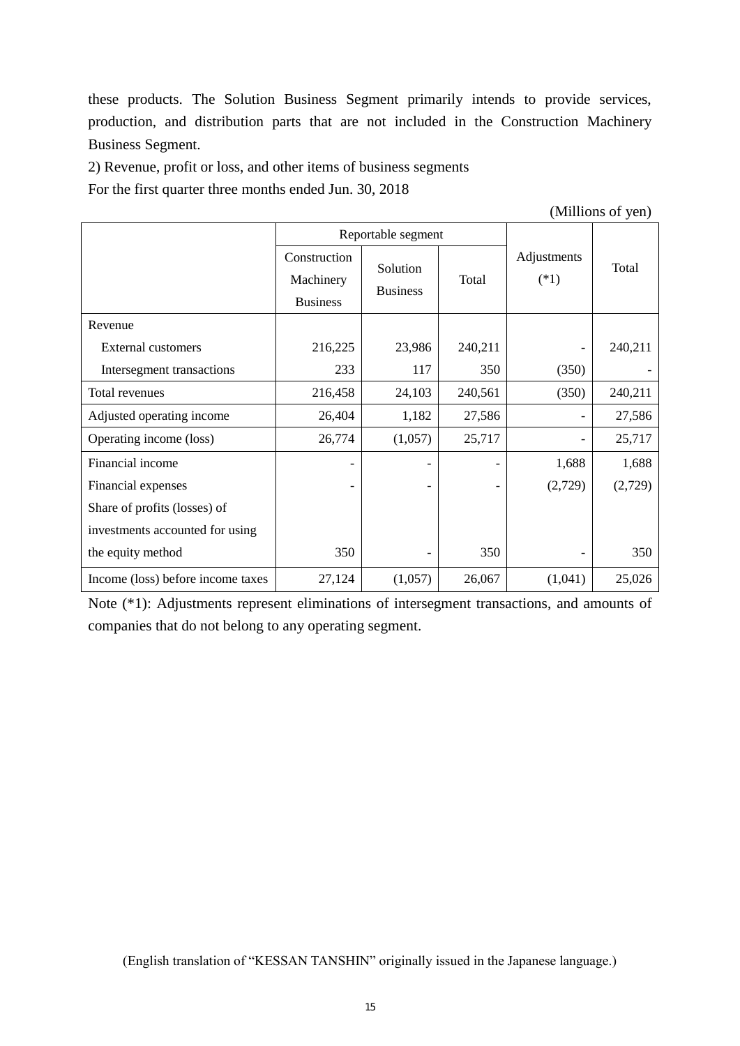these products. The Solution Business Segment primarily intends to provide services, production, and distribution parts that are not included in the Construction Machinery Business Segment.

2) Revenue, profit or loss, and other items of business segments

For the first quarter three months ended Jun. 30, 2018

(Millions of yen)

|                                   |                                              | Reportable segment          |         |                       |         |
|-----------------------------------|----------------------------------------------|-----------------------------|---------|-----------------------|---------|
|                                   | Construction<br>Machinery<br><b>Business</b> | Solution<br><b>Business</b> | Total   | Adjustments<br>$(*1)$ | Total   |
| Revenue                           |                                              |                             |         |                       |         |
| <b>External customers</b>         | 216,225                                      | 23,986                      | 240,211 |                       | 240,211 |
| Intersegment transactions         | 233                                          | 117                         | 350     | (350)                 |         |
| Total revenues                    | 216,458                                      | 24,103                      | 240,561 | (350)                 | 240,211 |
| Adjusted operating income         | 26,404                                       | 1,182                       | 27,586  |                       | 27,586  |
| Operating income (loss)           | 26,774                                       | (1,057)                     | 25,717  |                       | 25,717  |
| Financial income                  |                                              |                             |         | 1,688                 | 1,688   |
| Financial expenses                |                                              |                             |         | (2,729)               | (2,729) |
| Share of profits (losses) of      |                                              |                             |         |                       |         |
| investments accounted for using   |                                              |                             |         |                       |         |
| the equity method                 | 350                                          |                             | 350     |                       | 350     |
| Income (loss) before income taxes | 27,124                                       | (1,057)                     | 26,067  | (1,041)               | 25,026  |

Note (\*1): Adjustments represent eliminations of intersegment transactions, and amounts of companies that do not belong to any operating segment.